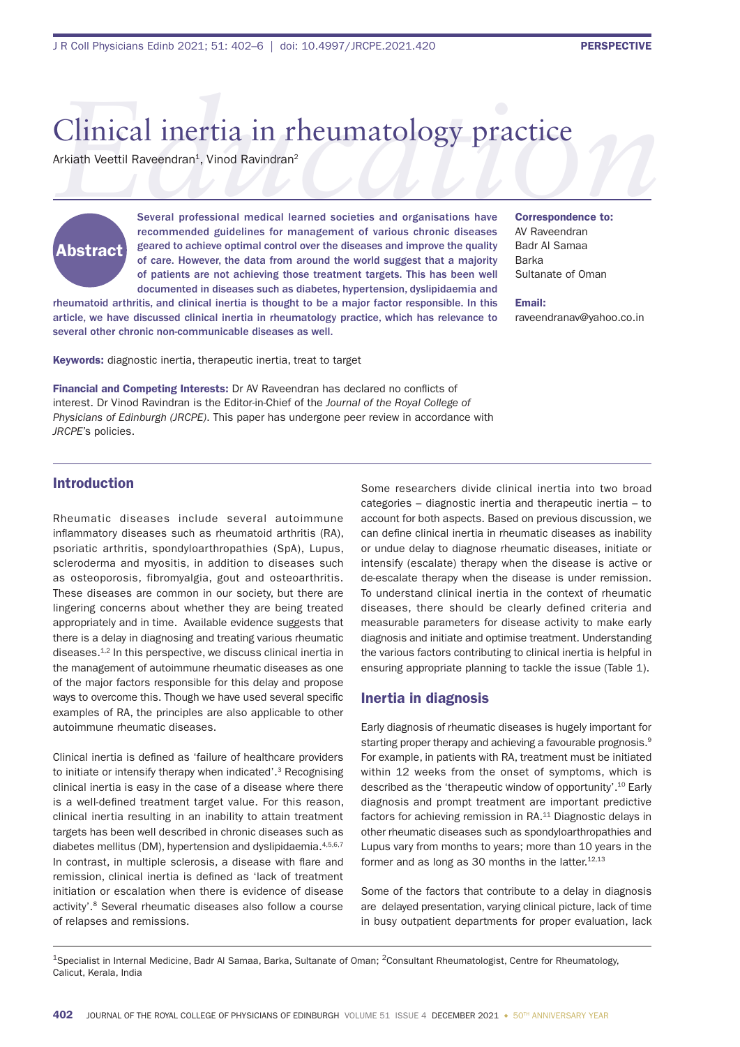# Clinical inertia in rheumatology practice<br>Arkiath Veettil Raveendran<sup>1</sup>, Vinod Ravindran<sup>2</sup><br>Several professional medical learned societies and organisations have Correspondence to: Clinical inertia in rheumatology practice

Arkiath Veettil Raveendran<sup>1</sup>, Vinod Ravindran<sup>2</sup>



Several professional medical learned societies and organisations have recommended guidelines for management of various chronic diseases geared to achieve optimal control over the diseases and improve the quality of care. However, the data from around the world suggest that a majority of patients are not achieving those treatment targets. This has been well documented in diseases such as diabetes, hypertension, dyslipidaemia and

rheumatoid arthritis, and clinical inertia is thought to be a major factor responsible. In this article, we have discussed clinical inertia in rheumatology practice, which has relevance to several other chronic non-communicable diseases as well.

Keywords: diagnostic inertia, therapeutic inertia, treat to target

Financial and Competing Interests: Dr AV Raveendran has declared no conflicts of interest. Dr Vinod Ravindran is the Editor-in-Chief of the *Journal of the Royal College of Physicians of Edinburgh (JRCPE)*. This paper has undergone peer review in accordance with *JRCPE*'s policies.

Correspondence to: AV Raveendran Badr Al Samaa Barka Sultanate of Oman

Email: raveendranav@yahoo.co.in

# Introduction

Rheumatic diseases include several autoimmune inflammatory diseases such as rheumatoid arthritis (RA), psoriatic arthritis, spondyloarthropathies (SpA), Lupus, scleroderma and myositis, in addition to diseases such as osteoporosis, fibromyalgia, gout and osteoarthritis. These diseases are common in our society, but there are lingering concerns about whether they are being treated appropriately and in time. Available evidence suggests that there is a delay in diagnosing and treating various rheumatic diseases.1,2 In this perspective, we discuss clinical inertia in the management of autoimmune rheumatic diseases as one of the major factors responsible for this delay and propose ways to overcome this. Though we have used several specific examples of RA, the principles are also applicable to other autoimmune rheumatic diseases.

Clinical inertia is defined as 'failure of healthcare providers to initiate or intensify therapy when indicated'.3 Recognising clinical inertia is easy in the case of a disease where there is a well-defined treatment target value. For this reason, clinical inertia resulting in an inability to attain treatment targets has been well described in chronic diseases such as diabetes mellitus (DM), hypertension and dyslipidaemia.<sup>4,5,6,7</sup> In contrast, in multiple sclerosis, a disease with flare and remission, clinical inertia is defined as 'lack of treatment initiation or escalation when there is evidence of disease activity'.8 Several rheumatic diseases also follow a course of relapses and remissions.

Some researchers divide clinical inertia into two broad categories – diagnostic inertia and therapeutic inertia – to account for both aspects. Based on previous discussion, we can define clinical inertia in rheumatic diseases as inability or undue delay to diagnose rheumatic diseases, initiate or intensify (escalate) therapy when the disease is active or de-escalate therapy when the disease is under remission. To understand clinical inertia in the context of rheumatic diseases, there should be clearly defined criteria and measurable parameters for disease activity to make early diagnosis and initiate and optimise treatment. Understanding the various factors contributing to clinical inertia is helpful in ensuring appropriate planning to tackle the issue (Table 1).

# Inertia in diagnosis

Early diagnosis of rheumatic diseases is hugely important for starting proper therapy and achieving a favourable prognosis.<sup>9</sup> For example, in patients with RA, treatment must be initiated within 12 weeks from the onset of symptoms, which is described as the 'therapeutic window of opportunity'.10 Early diagnosis and prompt treatment are important predictive factors for achieving remission in RA.11 Diagnostic delays in other rheumatic diseases such as spondyloarthropathies and Lupus vary from months to years; more than 10 years in the former and as long as 30 months in the latter. $12,13$ 

Some of the factors that contribute to a delay in diagnosis are delayed presentation, varying clinical picture, lack of time in busy outpatient departments for proper evaluation, lack

<sup>1</sup>Specialist in Internal Medicine, Badr Al Samaa, Barka, Sultanate of Oman; <sup>2</sup>Consultant Rheumatologist, Centre for Rheumatology, Calicut, Kerala, India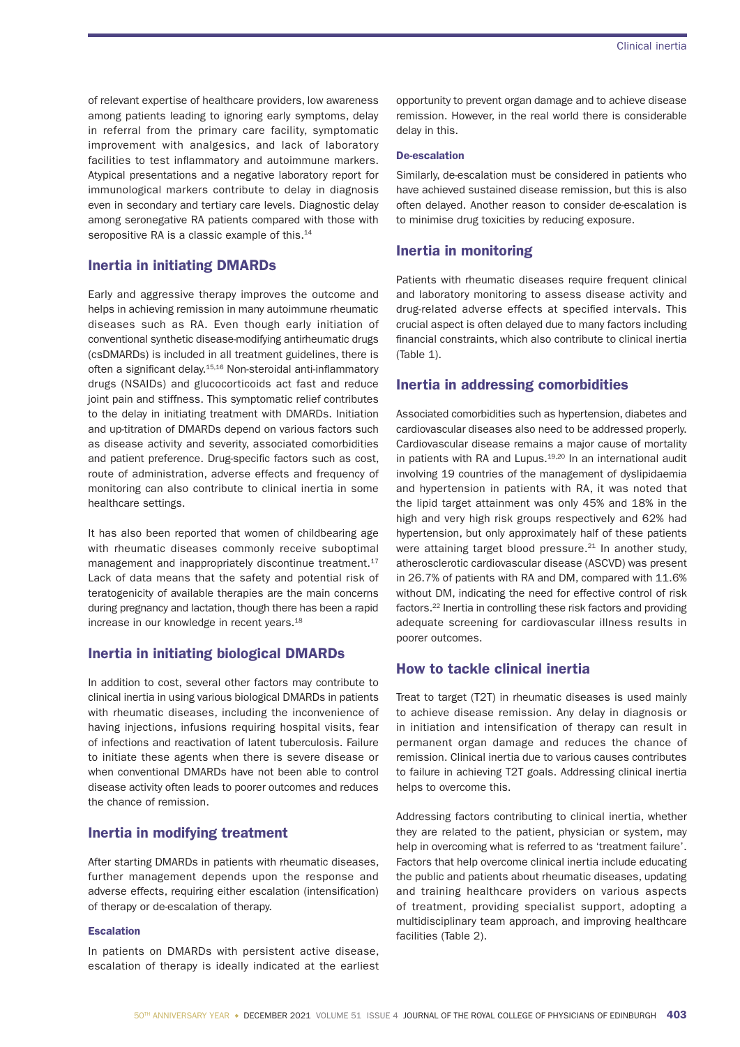of relevant expertise of healthcare providers, low awareness among patients leading to ignoring early symptoms, delay in referral from the primary care facility, symptomatic improvement with analgesics, and lack of laboratory facilities to test inflammatory and autoimmune markers. Atypical presentations and a negative laboratory report for immunological markers contribute to delay in diagnosis even in secondary and tertiary care levels. Diagnostic delay among seronegative RA patients compared with those with seropositive RA is a classic example of this.<sup>14</sup>

# Inertia in initiating DMARDs

Early and aggressive therapy improves the outcome and helps in achieving remission in many autoimmune rheumatic diseases such as RA. Even though early initiation of conventional synthetic disease-modifying antirheumatic drugs (csDMARDs) is included in all treatment guidelines, there is often a significant delay.<sup>15,16</sup> Non-steroidal anti-inflammatory drugs (NSAIDs) and glucocorticoids act fast and reduce joint pain and stiffness. This symptomatic relief contributes to the delay in initiating treatment with DMARDs. Initiation and up-titration of DMARDs depend on various factors such as disease activity and severity, associated comorbidities and patient preference. Drug-specific factors such as cost, route of administration, adverse effects and frequency of monitoring can also contribute to clinical inertia in some healthcare settings.

It has also been reported that women of childbearing age with rheumatic diseases commonly receive suboptimal management and inappropriately discontinue treatment.<sup>17</sup> Lack of data means that the safety and potential risk of teratogenicity of available therapies are the main concerns during pregnancy and lactation, though there has been a rapid increase in our knowledge in recent years.<sup>18</sup>

# Inertia in initiating biological DMARDs

In addition to cost, several other factors may contribute to clinical inertia in using various biological DMARDs in patients with rheumatic diseases, including the inconvenience of having injections, infusions requiring hospital visits, fear of infections and reactivation of latent tuberculosis. Failure to initiate these agents when there is severe disease or when conventional DMARDs have not been able to control disease activity often leads to poorer outcomes and reduces the chance of remission.

# Inertia in modifying treatment

After starting DMARDs in patients with rheumatic diseases, further management depends upon the response and adverse effects, requiring either escalation (intensification) of therapy or de-escalation of therapy.

### Escalation

In patients on DMARDs with persistent active disease, escalation of therapy is ideally indicated at the earliest opportunity to prevent organ damage and to achieve disease remission. However, in the real world there is considerable delay in this.

### De-escalation

Similarly, de-escalation must be considered in patients who have achieved sustained disease remission, but this is also often delayed. Another reason to consider de-escalation is to minimise drug toxicities by reducing exposure.

# Inertia in monitoring

Patients with rheumatic diseases require frequent clinical and laboratory monitoring to assess disease activity and drug-related adverse effects at specified intervals. This crucial aspect is often delayed due to many factors including financial constraints, which also contribute to clinical inertia (Table 1).

# Inertia in addressing comorbidities

Associated comorbidities such as hypertension, diabetes and cardiovascular diseases also need to be addressed properly. Cardiovascular disease remains a major cause of mortality in patients with RA and Lupus.<sup>19,20</sup> In an international audit involving 19 countries of the management of dyslipidaemia and hypertension in patients with RA, it was noted that the lipid target attainment was only 45% and 18% in the high and very high risk groups respectively and 62% had hypertension, but only approximately half of these patients were attaining target blood pressure.<sup>21</sup> In another study, atherosclerotic cardiovascular disease (ASCVD) was present in 26.7% of patients with RA and DM, compared with 11.6% without DM, indicating the need for effective control of risk factors.22 Inertia in controlling these risk factors and providing adequate screening for cardiovascular illness results in poorer outcomes.

# How to tackle clinical inertia

Treat to target (T2T) in rheumatic diseases is used mainly to achieve disease remission. Any delay in diagnosis or in initiation and intensification of therapy can result in permanent organ damage and reduces the chance of remission. Clinical inertia due to various causes contributes to failure in achieving T2T goals. Addressing clinical inertia helps to overcome this.

Addressing factors contributing to clinical inertia, whether they are related to the patient, physician or system, may help in overcoming what is referred to as 'treatment failure'. Factors that help overcome clinical inertia include educating the public and patients about rheumatic diseases, updating and training healthcare providers on various aspects of treatment, providing specialist support, adopting a multidisciplinary team approach, and improving healthcare facilities (Table 2).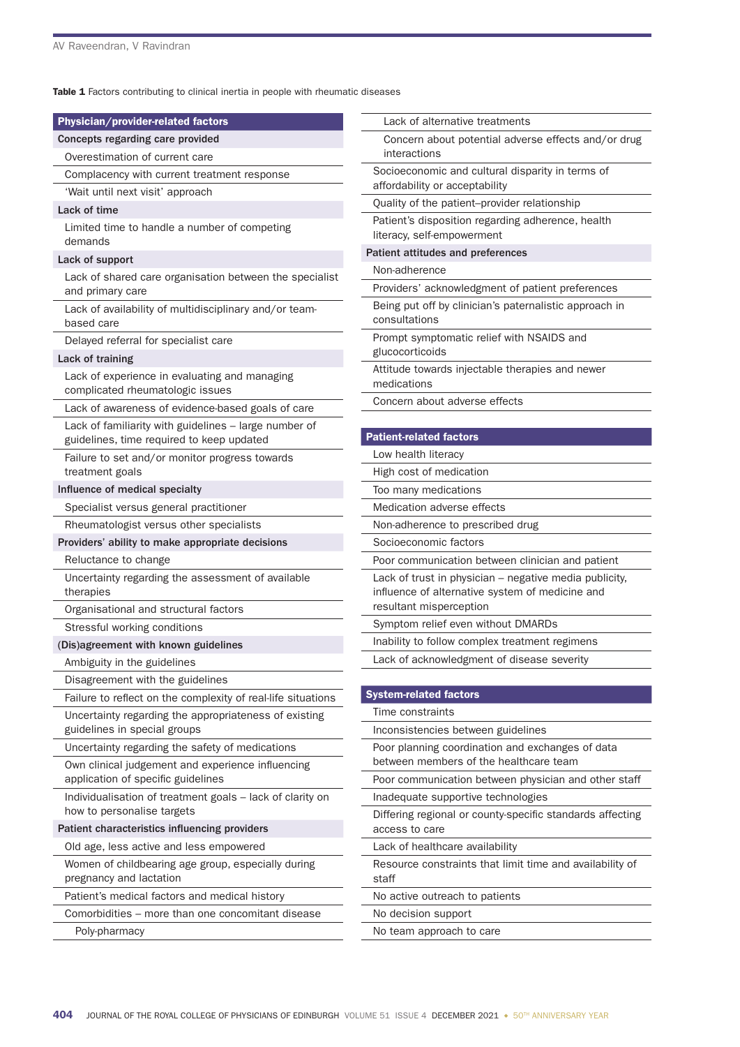Table 1 Factors contributing to clinical inertia in people with rheumatic diseases

| Physician/provider-related factors                                                      | Lack of alternative treatments                                                                            |
|-----------------------------------------------------------------------------------------|-----------------------------------------------------------------------------------------------------------|
| Concepts regarding care provided                                                        | Concern about potential adverse effects and/or drug                                                       |
| Overestimation of current care                                                          | interactions                                                                                              |
| Complacency with current treatment response                                             | Socioeconomic and cultural disparity in terms of<br>affordability or acceptability                        |
| 'Wait until next visit' approach                                                        | Quality of the patient-provider relationship                                                              |
| Lack of time                                                                            |                                                                                                           |
| Limited time to handle a number of competing<br>demands                                 | Patient's disposition regarding adherence, health<br>literacy, self-empowerment                           |
| Lack of support                                                                         | Patient attitudes and preferences                                                                         |
| Lack of shared care organisation between the specialist                                 | Non-adherence                                                                                             |
| and primary care                                                                        | Providers' acknowledgment of patient preferences                                                          |
| Lack of availability of multidisciplinary and/or team-<br>based care                    | Being put off by clinician's paternalistic approach in<br>consultations                                   |
| Delayed referral for specialist care                                                    | Prompt symptomatic relief with NSAIDS and                                                                 |
| Lack of training                                                                        | glucocorticoids                                                                                           |
| Lack of experience in evaluating and managing<br>complicated rheumatologic issues       | Attitude towards injectable therapies and newer<br>medications                                            |
| Lack of awareness of evidence-based goals of care                                       | Concern about adverse effects                                                                             |
| Lack of familiarity with guidelines - large number of                                   |                                                                                                           |
| guidelines, time required to keep updated                                               | <b>Patient-related factors</b>                                                                            |
| Failure to set and/or monitor progress towards                                          | Low health literacy                                                                                       |
| treatment goals                                                                         | High cost of medication                                                                                   |
| Influence of medical specialty                                                          | Too many medications                                                                                      |
| Specialist versus general practitioner                                                  | Medication adverse effects                                                                                |
| Rheumatologist versus other specialists                                                 | Non-adherence to prescribed drug                                                                          |
| Providers' ability to make appropriate decisions                                        | Socioeconomic factors                                                                                     |
| Reluctance to change                                                                    | Poor communication between clinician and patient                                                          |
| Uncertainty regarding the assessment of available<br>therapies                          | Lack of trust in physician - negative media publicity,<br>influence of alternative system of medicine and |
| Organisational and structural factors                                                   | resultant misperception                                                                                   |
| Stressful working conditions                                                            | Symptom relief even without DMARDs                                                                        |
| (Dis)agreement with known guidelines                                                    | Inability to follow complex treatment regimens                                                            |
| Ambiguity in the guidelines                                                             | Lack of acknowledgment of disease severity                                                                |
| Disagreement with the guidelines                                                        |                                                                                                           |
| Failure to reflect on the complexity of real-life situations                            | <b>System-related factors</b>                                                                             |
| Uncertainty regarding the appropriateness of existing                                   | Time constraints                                                                                          |
| guidelines in special groups                                                            | Inconsistencies between guidelines                                                                        |
| Uncertainty regarding the safety of medications                                         | Poor planning coordination and exchanges of data<br>between members of the healthcare team                |
| Own clinical judgement and experience influencing<br>application of specific guidelines | Poor communication between physician and other staff                                                      |
| Individualisation of treatment goals - lack of clarity on                               | Inadequate supportive technologies                                                                        |
| how to personalise targets                                                              | Differing regional or county-specific standards affecting                                                 |
| Patient characteristics influencing providers                                           | access to care                                                                                            |
| Old age, less active and less empowered                                                 | Lack of healthcare availability                                                                           |
| Women of childbearing age group, especially during<br>pregnancy and lactation           | Resource constraints that limit time and availability of<br>staff                                         |
| Patient's medical factors and medical history                                           | No active outreach to patients                                                                            |
| Comorbidities – more than one concomitant disease                                       | No decision support                                                                                       |
| Poly-pharmacy                                                                           | No team approach to care                                                                                  |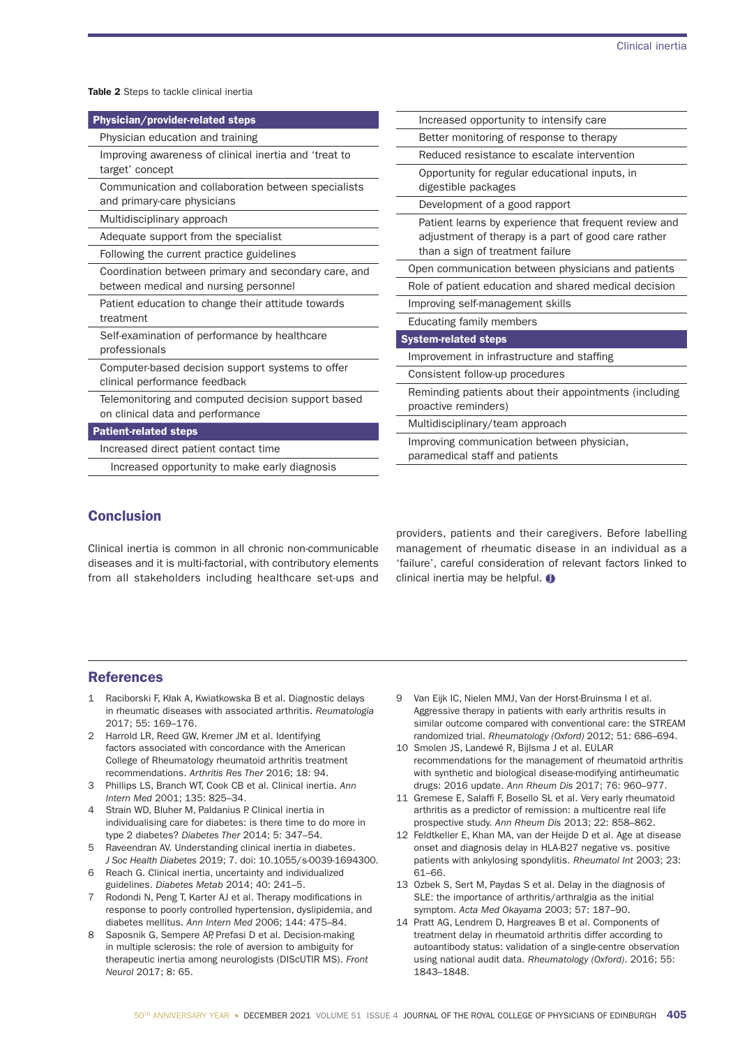Table 2 Steps to tackle clinical inertia

| Physician/provider-related steps                                                              | Increased opportunity to intensify care                |
|-----------------------------------------------------------------------------------------------|--------------------------------------------------------|
| Physician education and training                                                              | Better monitoring of response to therapy               |
| Improving awareness of clinical inertia and 'treat to<br>target' concept                      | Reduced resistance to escalate intervention            |
|                                                                                               | Opportunity for regular educational inputs, in         |
| Communication and collaboration between specialists<br>and primary-care physicians            | digestible packages                                    |
|                                                                                               | Development of a good rapport                          |
| Multidisciplinary approach                                                                    | Patient learns by experience that frequent review and  |
| Adequate support from the specialist                                                          | adjustment of therapy is a part of good care rather    |
| Following the current practice guidelines                                                     | than a sign of treatment failure                       |
| Coordination between primary and secondary care, and<br>between medical and nursing personnel | Open communication between physicians and patients     |
|                                                                                               | Role of patient education and shared medical decision  |
| Patient education to change their attitude towards<br>treatment                               | Improving self-management skills                       |
|                                                                                               | Educating family members                               |
| Self-examination of performance by healthcare                                                 | <b>System-related steps</b>                            |
| professionals                                                                                 | Improvement in infrastructure and staffing             |
| Computer-based decision support systems to offer<br>clinical performance feedback             | Consistent follow-up procedures                        |
| Telemonitoring and computed decision support based                                            | Reminding patients about their appointments (including |
| on clinical data and performance                                                              | proactive reminders)                                   |
| <b>Patient-related steps</b>                                                                  | Multidisciplinary/team approach                        |
| Increased direct patient contact time                                                         | Improving communication between physician,             |
| Increased opportunity to make early diagnosis                                                 | paramedical staff and patients                         |
|                                                                                               |                                                        |

# Conclusion

Clinical inertia is common in all chronic non-communicable diseases and it is multi-factorial, with contributory elements from all stakeholders including healthcare set-ups and providers, patients and their caregivers. Before labelling management of rheumatic disease in an individual as a 'failure', careful consideration of relevant factors linked to clinical inertia may be helpful.  $\bullet$ 

# References

- 1 Raciborski F, Kłak A, Kwiatkowska B et al. Diagnostic delays in rheumatic diseases with associated arthritis. *Reumatologia* 2017; 55: 169–176.
- Harrold LR, Reed GW, Kremer JM et al. Identifying factors associated with concordance with the American College of Rheumatology rheumatoid arthritis treatment recommendations. *Arthritis Res Ther* 2016; 18: 94.
- 3 Phillips LS, Branch WT, Cook CB et al. Clinical inertia. *Ann Intern Med* 2001; 135: 825–34.
- 4 Strain WD, Bluher M, Paldanius P. Clinical inertia in individualising care for diabetes: is there time to do more in type 2 diabetes? *Diabetes Ther* 2014; 5: 347–54.
- 5 Raveendran AV. Understanding clinical inertia in diabetes. *J Soc Health Diabetes* 2019; 7. doi: 10.1055/s-0039-1694300.
- 6 Reach G. Clinical inertia, uncertainty and individualized guidelines. *Diabetes Metab* 2014; 40: 241–5.
- 7 Rodondi N, Peng T, Karter AJ et al. Therapy modifications in response to poorly controlled hypertension, dyslipidemia, and diabetes mellitus. *Ann Intern Med* 2006; 144: 475–84.
- 8 Saposnik G, Sempere AP, Prefasi D et al. Decision-making in multiple sclerosis: the role of aversion to ambiguity for therapeutic inertia among neurologists (DIScUTIR MS). *Front Neurol* 2017; 8: 65.
- 9 Van Eijk IC, Nielen MMJ, Van der Horst-Bruinsma I et al. Aggressive therapy in patients with early arthritis results in similar outcome compared with conventional care: the STREAM randomized trial. *Rheumatology (Oxford)* 2012; 51: 686–694.
- 10 Smolen JS, Landewé R, Bijlsma J et al. EULAR recommendations for the management of rheumatoid arthritis with synthetic and biological disease-modifying antirheumatic drugs: 2016 update. *Ann Rheum Dis* 2017; 76: 960–977.
- 11 Gremese E, Salaffi F, Bosello SL et al. Very early rheumatoid arthritis as a predictor of remission: a multicentre real life prospective study. *Ann Rheum Dis* 2013; 22: 858–862.
- 12 Feldtkeller E, Khan MA, van der Heijde D et al. Age at disease onset and diagnosis delay in HLA-B27 negative vs. positive patients with ankylosing spondylitis. *Rheumatol Int* 2003; 23: 61–66.
- 13 Ozbek S, Sert M, Paydas S et al. Delay in the diagnosis of SLE: the importance of arthritis/arthralgia as the initial symptom. *Acta Med Okayama* 2003; 57: 187–90.
- 14 Pratt AG, Lendrem D, Hargreaves B et al. Components of treatment delay in rheumatoid arthritis differ according to autoantibody status: validation of a single-centre observation using national audit data. *Rheumatology (Oxford)*. 2016; 55: 1843–1848.